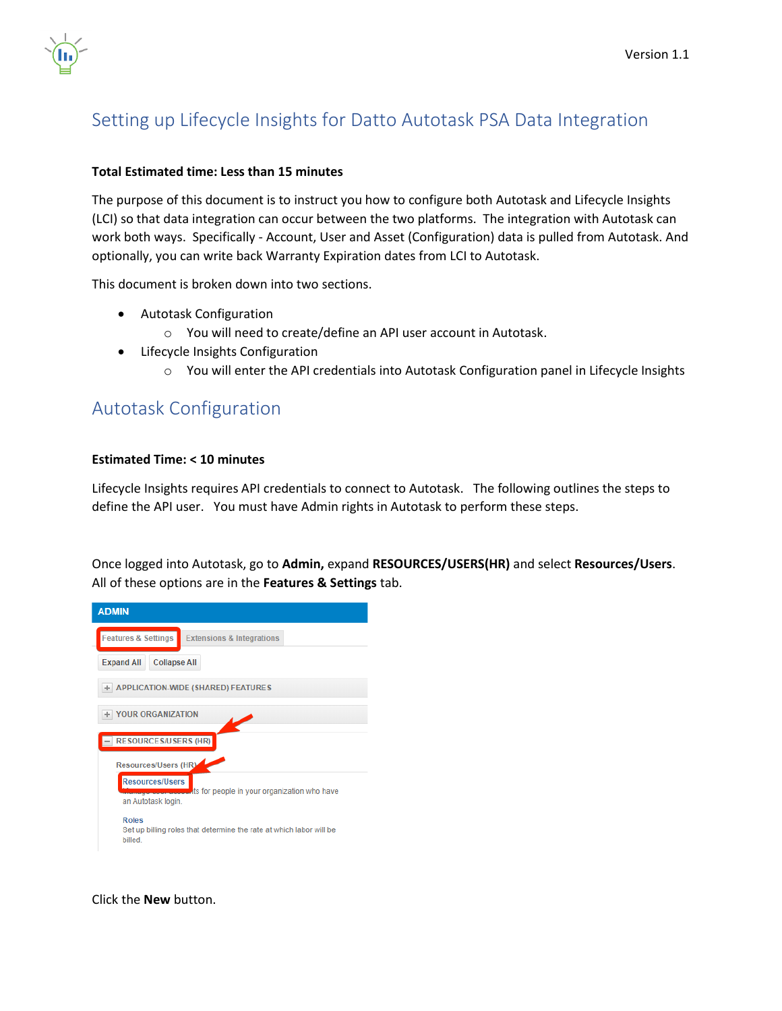

# Setting up Lifecycle Insights for Datto Autotask PSA Data Integration

#### **Total Estimated time: Less than 15 minutes**

The purpose of this document is to instruct you how to configure both Autotask and Lifecycle Insights (LCI) so that data integration can occur between the two platforms. The integration with Autotask can work both ways. Specifically - Account, User and Asset (Configuration) data is pulled from Autotask. And optionally, you can write back Warranty Expiration dates from LCI to Autotask.

This document is broken down into two sections.

- Autotask Configuration
	- o You will need to create/define an API user account in Autotask.
- Lifecycle Insights Configuration
	- o You will enter the API credentials into Autotask Configuration panel in Lifecycle Insights

## Autotask Configuration

#### **Estimated Time: < 10 minutes**

Lifecycle Insights requires API credentials to connect to Autotask. The following outlines the steps to define the API user. You must have Admin rights in Autotask to perform these steps.

Once logged into Autotask, go to **Admin,** expand **RESOURCES/USERS(HR)** and select **Resources/Users**. All of these options are in the **Features & Settings** tab.



Click the **New** button.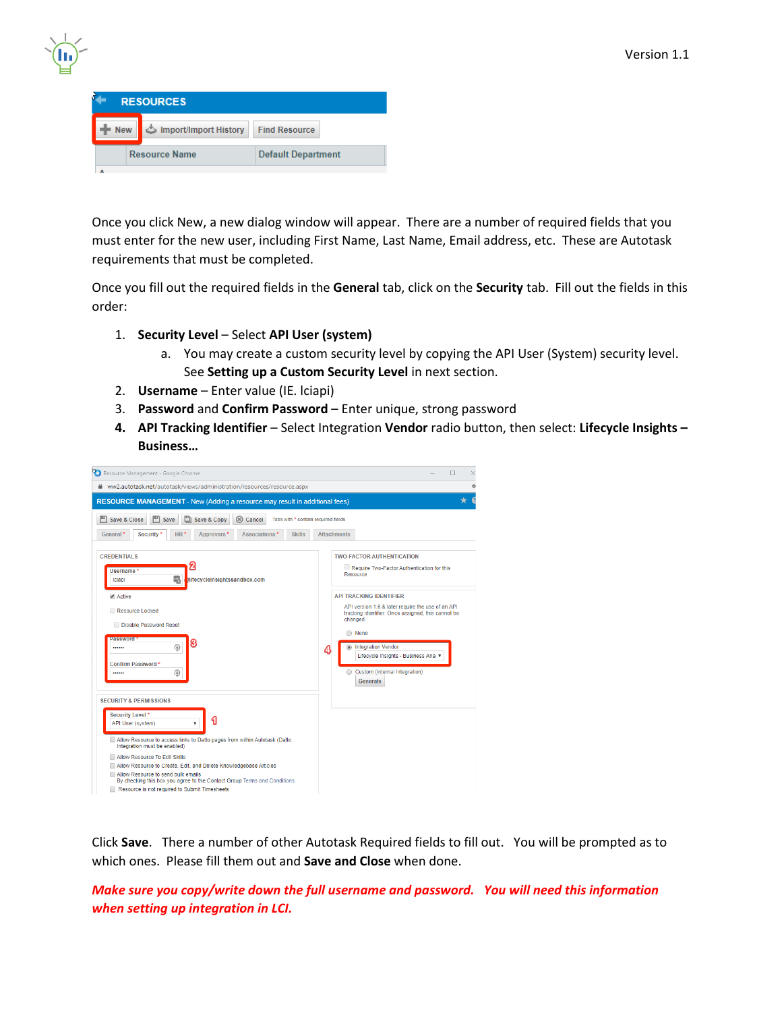| 40 |
|----|
|    |

| <b>RESOURCES</b> |  |                       |                           |  |  |  |
|------------------|--|-----------------------|---------------------------|--|--|--|
| <b>New</b>       |  | Import/Import History | <b>Find Resource</b>      |  |  |  |
|                  |  | <b>Resource Name</b>  | <b>Default Department</b> |  |  |  |
|                  |  |                       |                           |  |  |  |

Once you click New, a new dialog window will appear. There are a number of required fields that you must enter for the new user, including First Name, Last Name, Email address, etc. These are Autotask requirements that must be completed.

Once you fill out the required fields in the **General** tab, click on the **Security** tab. Fill out the fields in this order:

- 1. **Security Level** Select **API User (system)**
	- a. You may create a custom security level by copying the API User (System) security level. See **Setting up a Custom Security Level** in next section.
- 2. **Username** Enter value (IE. lciapi)
- 3. **Password** and **Confirm Password** Enter unique, strong password
- **4. API Tracking Identifier** Select Integration **Vendor** radio button, then select: **Lifecycle Insights – Business…**

| Resource Management - Google Chrome                                                                                                                                                                                                                                                                                                                                                                                                                               | п                                                                                                                                                                                                                                                                                                      |
|-------------------------------------------------------------------------------------------------------------------------------------------------------------------------------------------------------------------------------------------------------------------------------------------------------------------------------------------------------------------------------------------------------------------------------------------------------------------|--------------------------------------------------------------------------------------------------------------------------------------------------------------------------------------------------------------------------------------------------------------------------------------------------------|
| ww2.autotask.net/autotask/views/administration/resources/resource.aspx                                                                                                                                                                                                                                                                                                                                                                                            | $\circ$                                                                                                                                                                                                                                                                                                |
| <b>RESOURCE MANAGEMENT</b> - New (Adding a resource may result in additional fees)<br>画<br>Save & Close<br>(*) Cancel<br>Save & Copy<br>Tabs with * contain required fields<br>Save<br>General <sup>*</sup><br>$HR*$<br>Approvers <sup>*</sup><br>Associations*<br><b>Skills</b><br>Security <sup>*</sup><br><b>CREDENTIALS</b><br>2                                                                                                                              | <b>Attachments</b><br><b>TWO-FACTOR AUTHENTICATION</b><br>Require Two-Factor Authentication for this                                                                                                                                                                                                   |
| Username*<br>軐<br>elifecycleinsightssandbox.com<br>Iciapi<br>Active<br>Resource Locked<br>Disable Password Reset<br><b>Password</b><br>з<br>⊛<br><br>Confirm Password*<br>⊕<br>                                                                                                                                                                                                                                                                                   | Resource<br><b>API TRACKING IDENTIFIER</b><br>API version 1.6 & later require the use of an API<br>tracking identifier. Once assigned, this cannot be<br>changed.<br>O None<br><b>Integration Vendor</b><br>⋒<br>4<br>Lifecycle Insights - Business Ana ▼<br>Custom (Internal Integration)<br>Generate |
| <b>SECURITY &amp; PERMISSIONS</b><br>Security Level *<br>API User (system)<br>Allow Resource to access links to Datto pages from within Autotask (Datto<br>Integration must be enabled)<br>Allow Resource To Edit Skills<br>Allow Resource to Create, Edit, and Delete Knowledgebase Articles<br>Allow Resource to send bulk emails<br>By checking this box you agree to the Contact Group Terms and Conditions.<br>Resource is not required to Submit Timesheets |                                                                                                                                                                                                                                                                                                        |

Click **Save**. There a number of other Autotask Required fields to fill out. You will be prompted as to which ones. Please fill them out and **Save and Close** when done.

*Make sure you copy/write down the full username and password. You will need this information when setting up integration in LCI.*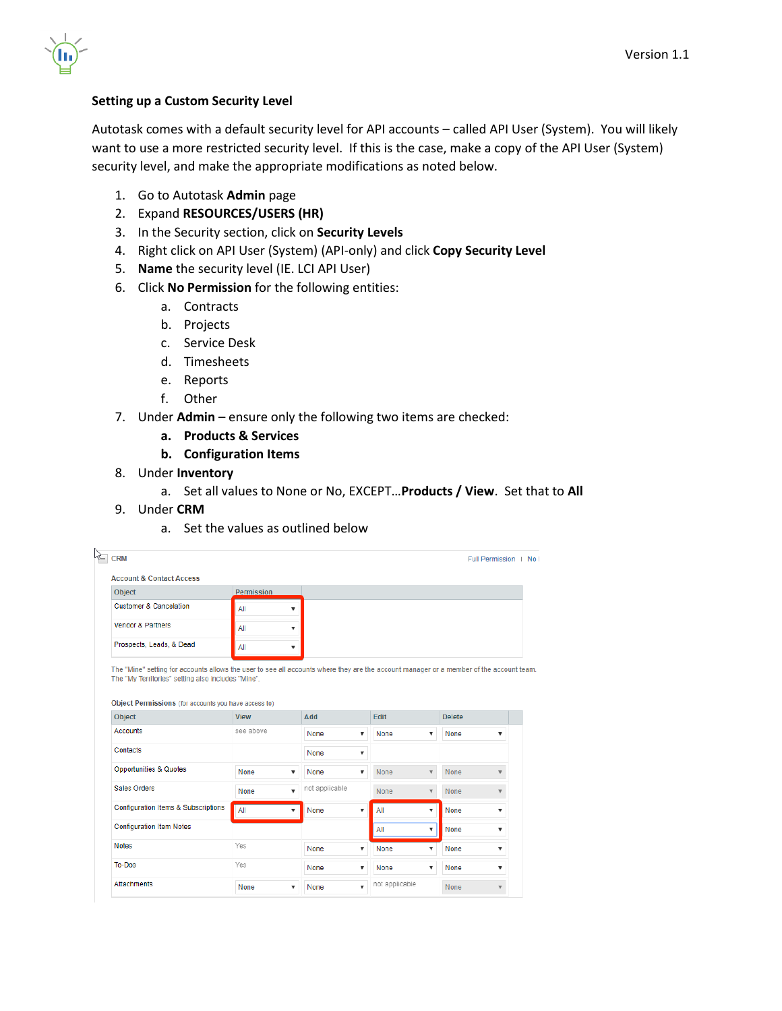#### **Setting up a Custom Security Level**

Autotask comes with a default security level for API accounts – called API User (System). You will likely want to use a more restricted security level. If this is the case, make a copy of the API User (System) security level, and make the appropriate modifications as noted below.

- 1. Go to Autotask **Admin** page
- 2. Expand **RESOURCES/USERS (HR)**
- 3. In the Security section, click on **Security Levels**
- 4. Right click on API User (System) (API-only) and click **Copy Security Level**
- 5. **Name** the security level (IE. LCI API User)
- 6. Click **No Permission** for the following entities:
	- a. Contracts
	- b. Projects
	- c. Service Desk
	- d. Timesheets
	- e. Reports
	- f. Other
- 7. Under **Admin** ensure only the following two items are checked:
	- **a. Products & Services**
	- **b. Configuration Items**
- 8. Under **Inventory**
	- a. Set all values to None or No, EXCEPT…**Products / View**. Set that to **All**
- 9. Under **CRM**
	- a. Set the values as outlined below

|                                                                                                                                    |                   |                                           |                                      | Full Permission   No                   |
|------------------------------------------------------------------------------------------------------------------------------------|-------------------|-------------------------------------------|--------------------------------------|----------------------------------------|
| <b>Account &amp; Contact Access</b>                                                                                                |                   |                                           |                                      |                                        |
| Object                                                                                                                             | <b>Permission</b> |                                           |                                      |                                        |
| <b>Customer &amp; Cancelation</b>                                                                                                  | All               | ▼                                         |                                      |                                        |
| <b>Vendor &amp; Partners</b>                                                                                                       | All               | $\overline{\mathbf{v}}$                   |                                      |                                        |
| Prospects, Leads, & Dead                                                                                                           | All               | ▼                                         |                                      |                                        |
| Object Permissions (for accounts you have access to)<br><b>Object</b>                                                              | <b>View</b>       | Add                                       | Edit                                 | <b>Delete</b>                          |
|                                                                                                                                    |                   |                                           |                                      |                                        |
|                                                                                                                                    | see above         | None                                      | None<br>v<br>▼                       | None<br>▼                              |
|                                                                                                                                    |                   | None                                      | ▼                                    |                                        |
|                                                                                                                                    | None              | None<br>▼                                 | None<br>v<br>$\overline{\mathbf{v}}$ | None<br>$\overline{\mathbf{v}}$        |
|                                                                                                                                    | <b>None</b>       | not applicable<br>$\overline{\mathbf{v}}$ | None<br>$\overline{\mathbf{v}}$      | <b>None</b><br>$\overline{\mathbf{v}}$ |
| <b>Accounts</b><br>Contacts<br><b>Opportunities &amp; Quotes</b><br>Sales Orders<br><b>Configuration Items &amp; Subscriptions</b> | All               | None<br>▼                                 | All<br>$\overline{\mathbf{v}}$<br>▼  | None<br>▼                              |
|                                                                                                                                    |                   |                                           | All<br>▼                             | None<br>▼                              |
|                                                                                                                                    | Yes               | None                                      | None<br>▼<br>▼                       | None<br>▼                              |
| <b>Configuration Item Notes</b><br><b>Notes</b><br>To-Dos                                                                          | Yes               | None                                      | None<br>▼<br>▼                       | None<br>▼                              |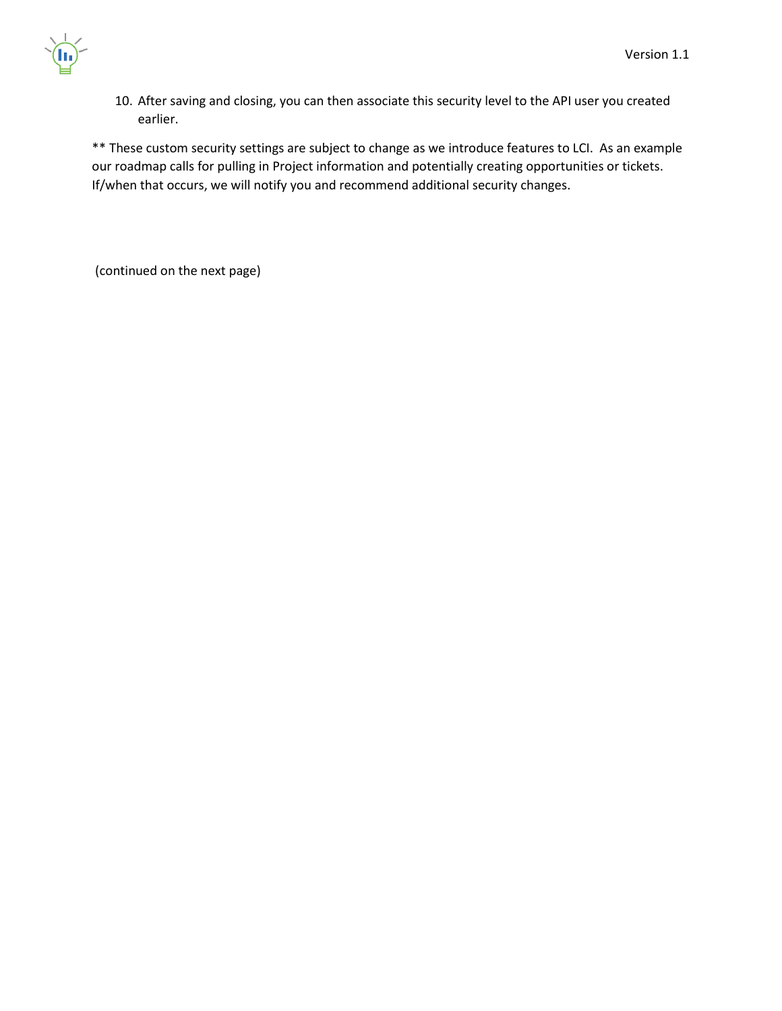10. After saving and closing, you can then associate this security level to the API user you created earlier.

\*\* These custom security settings are subject to change as we introduce features to LCI. As an example our roadmap calls for pulling in Project information and potentially creating opportunities or tickets. If/when that occurs, we will notify you and recommend additional security changes.

(continued on the next page)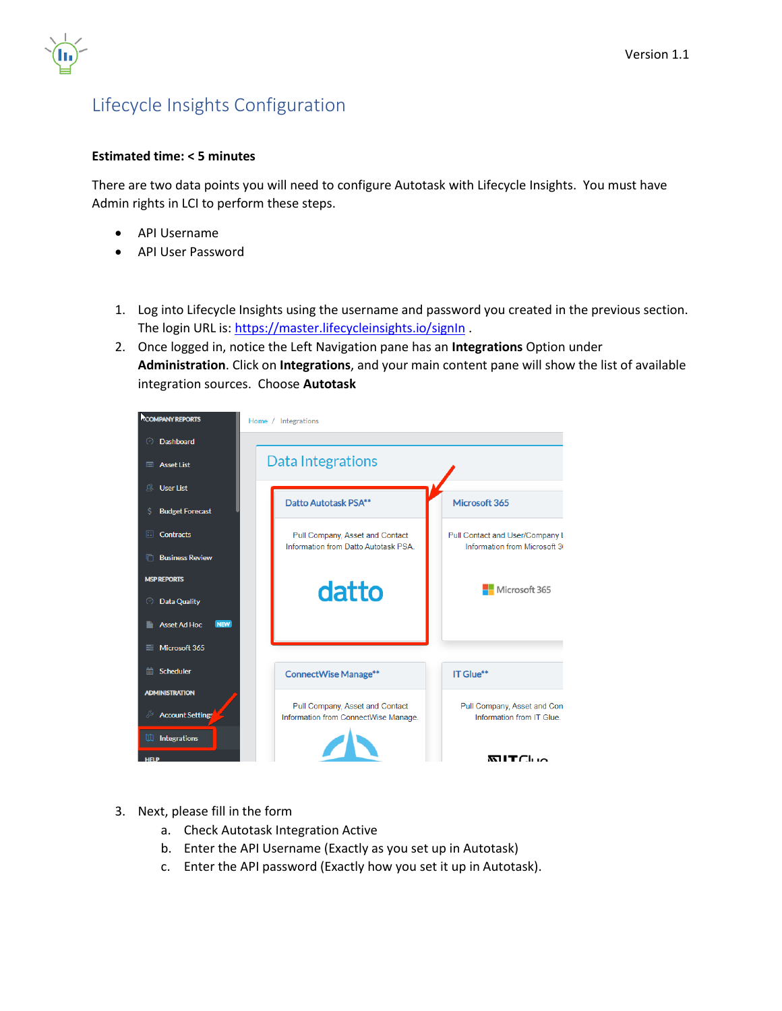

## Lifecycle Insights Configuration

#### **Estimated time: < 5 minutes**

There are two data points you will need to configure Autotask with Lifecycle Insights. You must have Admin rights in LCI to perform these steps.

- API Username
- API User Password
- 1. Log into Lifecycle Insights using the username and password you created in the previous section. The login URL is:<https://master.lifecycleinsights.io/signIn>.
- 2. Once logged in, notice the Left Navigation pane has an **Integrations** Option under **Administration**. Click on **Integrations**, and your main content pane will show the list of available integration sources. Choose **Autotask**

| <b>COMPANY REPORTS</b>            | Home / Integrations                                                     |                                                                  |
|-----------------------------------|-------------------------------------------------------------------------|------------------------------------------------------------------|
| <b>Dashboard</b><br>$\bigcirc$    |                                                                         |                                                                  |
| <b>Asset List</b><br>E            | Data Integrations                                                       |                                                                  |
| <b>User List</b><br>્રણ           |                                                                         |                                                                  |
| <b>Budget Forecast</b><br>Ś       | Datto Autotask PSA**                                                    | Microsoft 365                                                    |
| 圍<br><b>Contracts</b>             | Pull Company, Asset and Contact<br>Information from Datto Autotask PSA. | Pull Contact and User/Company L<br>Information from Microsoft 36 |
| <b>Business Review</b><br>n       |                                                                         |                                                                  |
| <b>MSP REPORTS</b>                |                                                                         | Microsoft 365                                                    |
| <b>Data Quality</b><br>⊖          | datto                                                                   |                                                                  |
| <b>NEW</b><br><b>Asset Ad Hoc</b> |                                                                         |                                                                  |
| Microsoft 365<br>ᇀ                |                                                                         |                                                                  |
| Scheduler<br>曲                    | <b>ConnectWise Manage**</b>                                             | IT Glue**                                                        |
| <b>ADMINISTRATION</b>             |                                                                         |                                                                  |
| <b>Account Settings</b><br>₽      | Pull Company, Asset and Contact<br>Information from ConnectWise Manage. | Pull Company, Asset and Cont<br>Information from IT Glue.        |
| Integrations<br>m                 |                                                                         |                                                                  |
| исі в                             |                                                                         | MTC <sub>1</sub>                                                 |

- 3. Next, please fill in the form
	- a. Check Autotask Integration Active
	- b. Enter the API Username (Exactly as you set up in Autotask)
	- c. Enter the API password (Exactly how you set it up in Autotask).